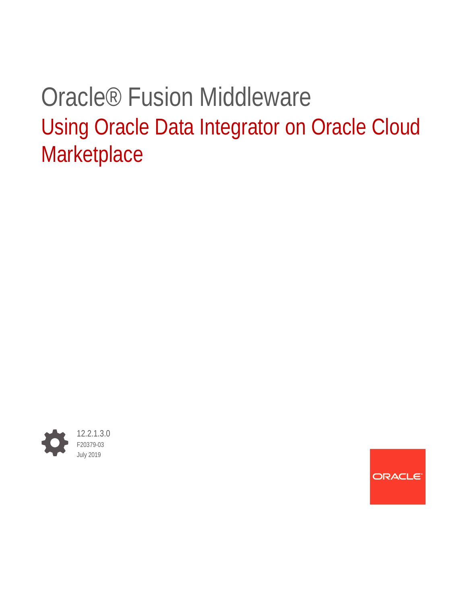# Oracle® Fusion Middleware Using Oracle Data Integrator on Oracle Cloud **Marketplace**



ORACLE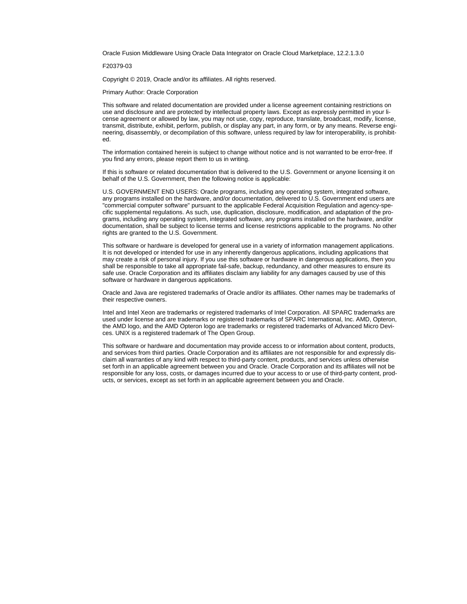Oracle Fusion Middleware Using Oracle Data Integrator on Oracle Cloud Marketplace, 12.2.1.3.0

F20379-03

Copyright © 2019, Oracle and/or its affiliates. All rights reserved.

Primary Author: Oracle Corporation

This software and related documentation are provided under a license agreement containing restrictions on use and disclosure and are protected by intellectual property laws. Except as expressly permitted in your license agreement or allowed by law, you may not use, copy, reproduce, translate, broadcast, modify, license, transmit, distribute, exhibit, perform, publish, or display any part, in any form, or by any means. Reverse engineering, disassembly, or decompilation of this software, unless required by law for interoperability, is prohibited.

The information contained herein is subject to change without notice and is not warranted to be error-free. If you find any errors, please report them to us in writing.

If this is software or related documentation that is delivered to the U.S. Government or anyone licensing it on behalf of the U.S. Government, then the following notice is applicable:

U.S. GOVERNMENT END USERS: Oracle programs, including any operating system, integrated software, any programs installed on the hardware, and/or documentation, delivered to U.S. Government end users are "commercial computer software" pursuant to the applicable Federal Acquisition Regulation and agency-spe‐ cific supplemental regulations. As such, use, duplication, disclosure, modification, and adaptation of the pro‐ grams, including any operating system, integrated software, any programs installed on the hardware, and/or documentation, shall be subject to license terms and license restrictions applicable to the programs. No other rights are granted to the U.S. Government.

This software or hardware is developed for general use in a variety of information management applications. It is not developed or intended for use in any inherently dangerous applications, including applications that may create a risk of personal injury. If you use this software or hardware in dangerous applications, then you shall be responsible to take all appropriate fail-safe, backup, redundancy, and other measures to ensure its safe use. Oracle Corporation and its affiliates disclaim any liability for any damages caused by use of this software or hardware in dangerous applications.

Oracle and Java are registered trademarks of Oracle and/or its affiliates. Other names may be trademarks of their respective owners.

Intel and Intel Xeon are trademarks or registered trademarks of Intel Corporation. All SPARC trademarks are used under license and are trademarks or registered trademarks of SPARC International, Inc. AMD, Opteron, the AMD logo, and the AMD Opteron logo are trademarks or registered trademarks of Advanced Micro Devices. UNIX is a registered trademark of The Open Group.

This software or hardware and documentation may provide access to or information about content, products, and services from third parties. Oracle Corporation and its affiliates are not responsible for and expressly dis‐ claim all warranties of any kind with respect to third-party content, products, and services unless otherwise set forth in an applicable agreement between you and Oracle. Oracle Corporation and its affiliates will not be responsible for any loss, costs, or damages incurred due to your access to or use of third-party content, prod‐ ucts, or services, except as set forth in an applicable agreement between you and Oracle.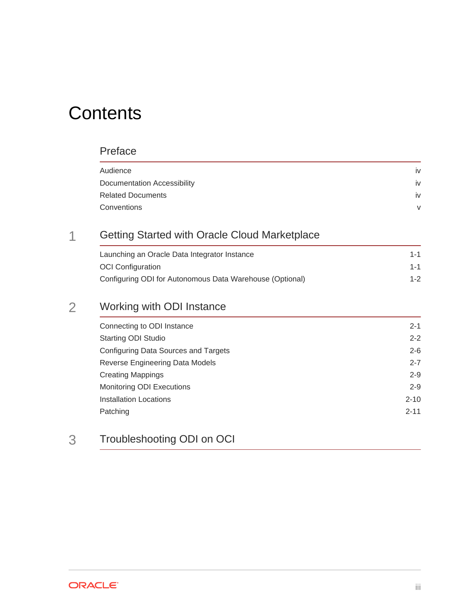# **Contents**

#### [Preface](#page-3-0)

| Audience                    | iv           |
|-----------------------------|--------------|
| Documentation Accessibility | iv           |
| Related Documents           | iv           |
| Conventions                 | $\mathsf{V}$ |
|                             |              |

### 1 [Getting Started with Oracle Cloud Marketplace](#page-5-0)

| Launching an Oracle Data Integrator Instance             | $1 - 1$ |
|----------------------------------------------------------|---------|
| <b>OCI Configuration</b>                                 | $1 - 1$ |
| Configuring ODI for Autonomous Data Warehouse (Optional) | $1 - 2$ |

### 2 [Working with ODI Instance](#page-10-0)

| Connecting to ODI Instance           | $2 - 1$  |
|--------------------------------------|----------|
| <b>Starting ODI Studio</b>           | $2 - 2$  |
| Configuring Data Sources and Targets | $2 - 6$  |
| Reverse Engineering Data Models      | $2 - 7$  |
| <b>Creating Mappings</b>             | $2 - 9$  |
| <b>Monitoring ODI Executions</b>     | $2 - 9$  |
| Installation Locations               | $2 - 10$ |
| Patching                             | $2 - 11$ |
|                                      |          |

### 3 [Troubleshooting ODI on OCI](#page-21-0)

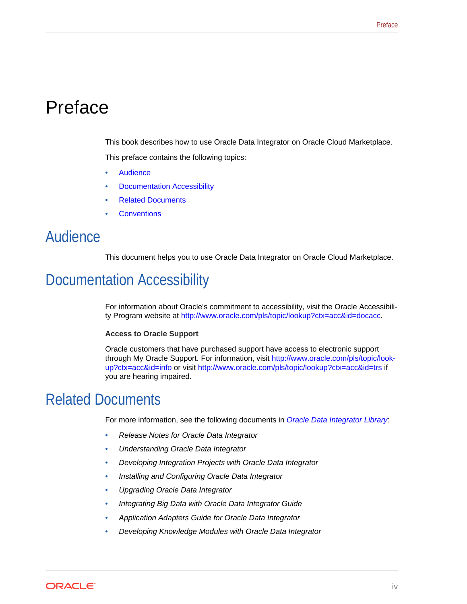# <span id="page-3-0"></span>Preface

This book describes how to use Oracle Data Integrator on Oracle Cloud Marketplace. This preface contains the following topics:

- **Audience**
- Documentation Accessibility
- Related Documents
- **[Conventions](#page-4-0)**

## Audience

This document helps you to use Oracle Data Integrator on Oracle Cloud Marketplace.

## Documentation Accessibility

For information about Oracle's commitment to accessibility, visit the Oracle Accessibility Program website at<http://www.oracle.com/pls/topic/lookup?ctx=acc&id=docacc>.

#### **Access to Oracle Support**

Oracle customers that have purchased support have access to electronic support through My Oracle Support. For information, visit [http://www.oracle.com/pls/topic/look‐](http://www.oracle.com/pls/topic/lookup?ctx=acc&id=info) [up?ctx=acc&id=info](http://www.oracle.com/pls/topic/lookup?ctx=acc&id=info) or visit <http://www.oracle.com/pls/topic/lookup?ctx=acc&id=trs>if you are hearing impaired.

### Related Documents

For more information, see the following documents in *[Oracle Data Integrator Library](http://docs.oracle.com/middleware/12213/odi/index.html)*:

- *Release Notes for Oracle Data Integrator*
- *Understanding Oracle Data Integrator*
- *Developing Integration Projects with Oracle Data Integrator*
- *Installing and Configuring Oracle Data Integrator*
- *Upgrading Oracle Data Integrator*
- *Integrating Big Data with Oracle Data Integrator Guide*
- *Application Adapters Guide for Oracle Data Integrator*
- *Developing Knowledge Modules with Oracle Data Integrator*

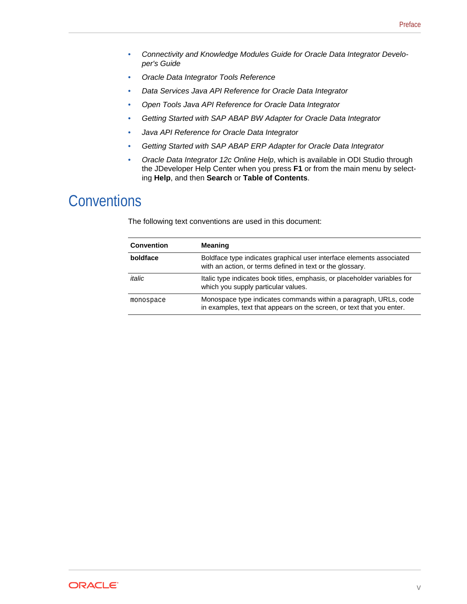- <span id="page-4-0"></span>• *Connectivity and Knowledge Modules Guide for Oracle Data Integrator Develo‐ per's Guide*
- *Oracle Data Integrator Tools Reference*
- *Data Services Java API Reference for Oracle Data Integrator*
- *Open Tools Java API Reference for Oracle Data Integrator*
- *Getting Started with SAP ABAP BW Adapter for Oracle Data Integrator*
- *Java API Reference for Oracle Data Integrator*
- *Getting Started with SAP ABAP ERP Adapter for Oracle Data Integrator*
- *Oracle Data Integrator 12c Online Help*, which is available in ODI Studio through the JDeveloper Help Center when you press **F1** or from the main menu by select‐ ing **Help**, and then **Search** or **Table of Contents**.

## **Conventions**

The following text conventions are used in this document:

| <b>Convention</b> | <b>Meaning</b>                                                                                                                            |
|-------------------|-------------------------------------------------------------------------------------------------------------------------------------------|
| boldface          | Boldface type indicates graphical user interface elements associated<br>with an action, or terms defined in text or the glossary.         |
| italic            | Italic type indicates book titles, emphasis, or placeholder variables for<br>which you supply particular values.                          |
| monospace         | Monospace type indicates commands within a paragraph, URLs, code<br>in examples, text that appears on the screen, or text that you enter. |

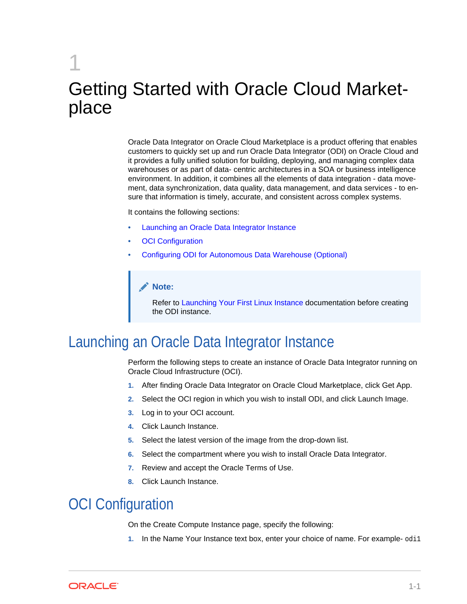# <span id="page-5-0"></span>1 Getting Started with Oracle Cloud Market‐ place

Oracle Data Integrator on Oracle Cloud Marketplace is a product offering that enables customers to quickly set up and run Oracle Data Integrator (ODI) on Oracle Cloud and it provides a fully unified solution for building, deploying, and managing complex data warehouses or as part of data- centric architectures in a SOA or business intelligence environment. In addition, it combines all the elements of data integration - data move‐ ment, data synchronization, data quality, data management, and data services - to en‐ sure that information is timely, accurate, and consistent across complex systems.

It contains the following sections:

- Launching an Oracle Data Integrator Instance
- **OCI Configuration**
- [Configuring ODI for Autonomous Data Warehouse \(Optional\)](#page-6-0)

#### **Note:**

Refer to [Launching Your First Linux Instance](https://docs.cloud.oracle.com/iaas/Content/GSG/Reference/overviewworkflow.htm) documentation before creating the ODI instance.

## Launching an Oracle Data Integrator Instance

Perform the following steps to create an instance of Oracle Data Integrator running on Oracle Cloud Infrastructure (OCI).

- **1.** After finding Oracle Data Integrator on Oracle Cloud Marketplace, click Get App.
- **2.** Select the OCI region in which you wish to install ODI, and click Launch Image.
- **3.** Log in to your OCI account.
- **4.** Click Launch Instance.
- **5.** Select the latest version of the image from the drop-down list.
- **6.** Select the compartment where you wish to install Oracle Data Integrator.
- **7.** Review and accept the Oracle Terms of Use.
- **8.** Click Launch Instance.

# **OCI Configuration**

On the Create Compute Instance page, specify the following:

**1.** In the Name Your Instance text box, enter your choice of name. For example- odi1

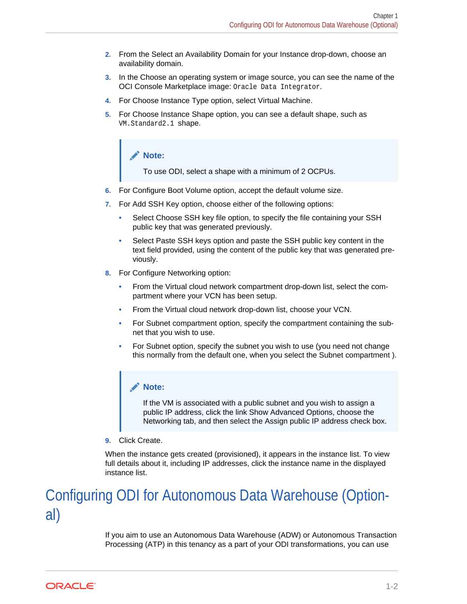- <span id="page-6-0"></span>**2.** From the Select an Availability Domain for your Instance drop-down, choose an availability domain.
- **3.** In the Choose an operating system or image source, you can see the name of the OCI Console Marketplace image: Oracle Data Integrator.
- **4.** For Choose Instance Type option, select Virtual Machine.
- **5.** For Choose Instance Shape option, you can see a default shape, such as VM.Standard2.1 shape.



To use ODI, select a shape with a minimum of 2 OCPUs.

- **6.** For Configure Boot Volume option, accept the default volume size.
- **7.** For Add SSH Key option, choose either of the following options:
	- Select Choose SSH key file option, to specify the file containing your SSH public key that was generated previously.
	- Select Paste SSH keys option and paste the SSH public key content in the text field provided, using the content of the public key that was generated pre‐ viously.
- **8.** For Configure Networking option:
	- From the Virtual cloud network compartment drop-down list, select the com‐ partment where your VCN has been setup.
	- From the Virtual cloud network drop-down list, choose your VCN.
	- For Subnet compartment option, specify the compartment containing the sub‐ net that you wish to use.
	- For Subnet option, specify the subnet you wish to use (you need not change this normally from the default one, when you select the Subnet compartment ).

#### **Note:**

If the VM is associated with a public subnet and you wish to assign a public IP address, click the link Show Advanced Options, choose the Networking tab, and then select the Assign public IP address check box.

**9.** Click Create.

When the instance gets created (provisioned), it appears in the instance list. To view full details about it, including IP addresses, click the instance name in the displayed instance list.

# Configuring ODI for Autonomous Data Warehouse (Option‐ al)

If you aim to use an Autonomous Data Warehouse (ADW) or Autonomous Transaction Processing (ATP) in this tenancy as a part of your ODI transformations, you can use

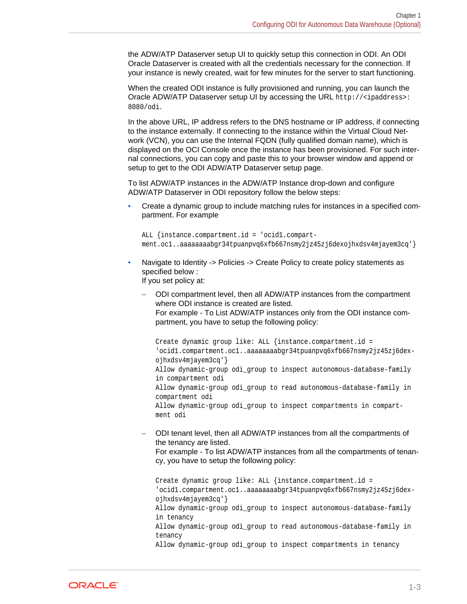the ADW/ATP Dataserver setup UI to quickly setup this connection in ODI. An ODI Oracle Dataserver is created with all the credentials necessary for the connection. If your instance is newly created, wait for few minutes for the server to start functioning.

When the created ODI instance is fully provisioned and running, you can launch the Oracle ADW/ATP Dataserver setup UI by accessing the URL http://<ipaddress>: 8080/odi.

In the above URL, IP address refers to the DNS hostname or IP address, if connecting to the instance externally. If connecting to the instance within the Virtual Cloud Net‐ work (VCN), you can use the Internal FQDN (fully qualified domain name), which is displayed on the OCI Console once the instance has been provisioned. For such inter‐ nal connections, you can copy and paste this to your browser window and append or setup to get to the ODI ADW/ATP Dataserver setup page.

To list ADW/ATP instances in the ADW/ATP Instance drop-down and configure ADW/ATP Dataserver in ODI repository follow the below steps:

• Create a dynamic group to include matching rules for instances in a specified compartment. For example

ALL {instance.compartment.id = 'ocid1.compartment.oc1..aaaaaaaabgr34tpuanpvq6xfb667nsmy2jz45zj6dexojhxdsv4mjayem3cq'}

• Navigate to Identity -> Policies -> Create Policy to create policy statements as specified below :

If you set policy at:

– ODI compartment level, then all ADW/ATP instances from the compartment where ODI instance is created are listed. For example - To List ADW/ATP instances only from the ODI instance com‐ partment, you have to setup the following policy: Create dynamic group like: ALL {instance.compartment.id = 'ocid1.compartment.oc1..aaaaaaaabgr34tpuanpvq6xfb667nsmy2jz45zj6dexojhxdsv4mjayem3cq'} Allow dynamic-group odi\_group to inspect autonomous-database-family in compartment odi

Allow dynamic-group odi\_group to read autonomous-database-family in compartment odi

Allow dynamic-group odi\_group to inspect compartments in compartment odi

– ODI tenant level, then all ADW/ATP instances from all the compartments of the tenancy are listed.

For example - To list ADW/ATP instances from all the compartments of tenan‐ cy, you have to setup the following policy:

Create dynamic group like: ALL {instance.compartment.id = 'ocid1.compartment.oc1..aaaaaaaabgr34tpuanpvq6xfb667nsmy2jz45zj6dexojhxdsv4mjayem3cq'} Allow dynamic-group odi\_group to inspect autonomous-database-family in tenancy Allow dynamic-group odi\_group to read autonomous-database-family in tenancy Allow dynamic-group odi\_group to inspect compartments in tenancy

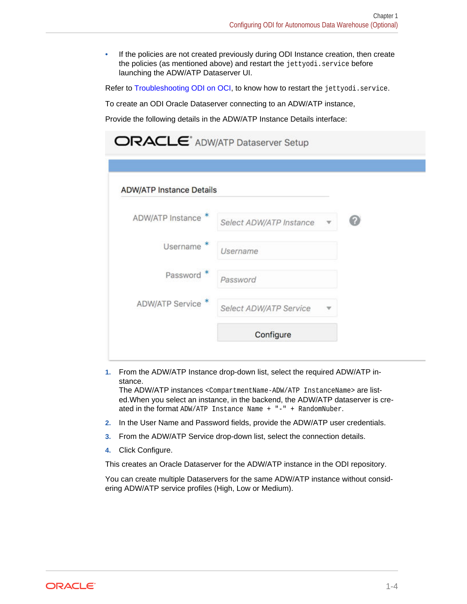If the policies are not created previously during ODI Instance creation, then create the policies (as mentioned above) and restart the jettyodi.service before launching the ADW/ATP Dataserver UI.

Refer to [Troubleshooting ODI on OCI](#page-21-0), to know how to restart the jettyodi.service.

To create an ODI Oracle Dataserver connecting to an ADW/ATP instance,

Provide the following details in the ADW/ATP Instance Details interface:

| <b>ADW/ATP Instance Details</b> |                               |   |   |
|---------------------------------|-------------------------------|---|---|
| ADW/ATP Instance *              | Select ADW/ATP Instance       | v | 0 |
| Username <sup>*</sup>           | <i><u><b>Username</b></u></i> |   |   |
| Password *                      | Password                      |   |   |
| ADW/ATP Service *               | Select ADW/ATP Service        | v |   |

**1.** From the ADW/ATP Instance drop-down list, select the required ADW/ATP in‐ stance.

The ADW/ATP instances <CompartmentName-ADW/ATP InstanceName> are list‐ ed.When you select an instance, in the backend, the ADW/ATP dataserver is cre‐ ated in the format ADW/ATP Instance Name + "-" + RandomNuber.

- **2.** In the User Name and Password fields, provide the ADW/ATP user credentials.
- **3.** From the ADW/ATP Service drop-down list, select the connection details.
- **4.** Click Configure.

This creates an Oracle Dataserver for the ADW/ATP instance in the ODI repository.

You can create multiple Dataservers for the same ADW/ATP instance without consid‐ ering ADW/ATP service profiles (High, Low or Medium).

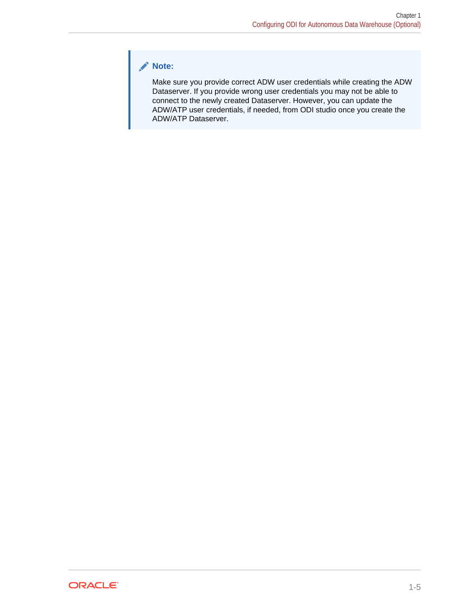#### **Note:**

Make sure you provide correct ADW user credentials while creating the ADW Dataserver. If you provide wrong user credentials you may not be able to connect to the newly created Dataserver. However, you can update the ADW/ATP user credentials, if needed, from ODI studio once you create the ADW/ATP Dataserver.

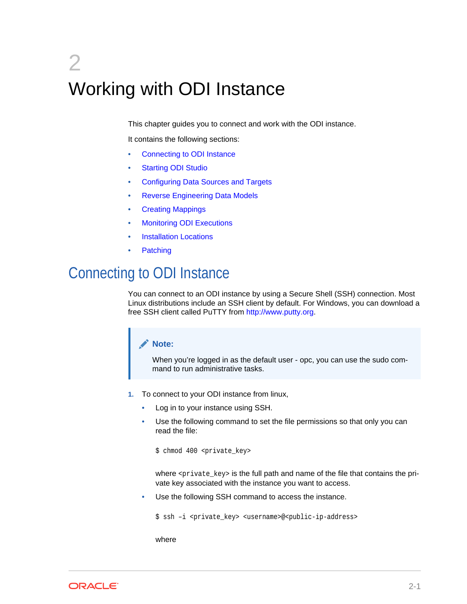# <span id="page-10-0"></span>2 Working with ODI Instance

This chapter guides you to connect and work with the ODI instance.

It contains the following sections:

- Connecting to ODI Instance
- **[Starting ODI Studio](#page-11-0)**
- [Configuring Data Sources and Targets](#page-15-0)
- [Reverse Engineering Data Models](#page-16-0)
- **[Creating Mappings](#page-18-0)**
- [Monitoring ODI Executions](#page-18-0)
- **[Installation Locations](#page-19-0)**
- **[Patching](#page-20-0)**

# Connecting to ODI Instance

You can connect to an ODI instance by using a Secure Shell (SSH) connection. Most Linux distributions include an SSH client by default. For Windows, you can download a free SSH client called PuTTY from<http://www.putty.org>.

#### **Note:**

When you're logged in as the default user - opc, you can use the sudo com‐ mand to run administrative tasks.

- **1.** To connect to your ODI instance from linux,
	- Log in to your instance using SSH.
	- Use the following command to set the file permissions so that only you can read the file:

\$ chmod 400 <private key>

where <private\_key> is the full path and name of the file that contains the private key associated with the instance you want to access.

Use the following SSH command to access the instance.

\$ ssh –i <private\_key> <username>@<public-ip-address>

where

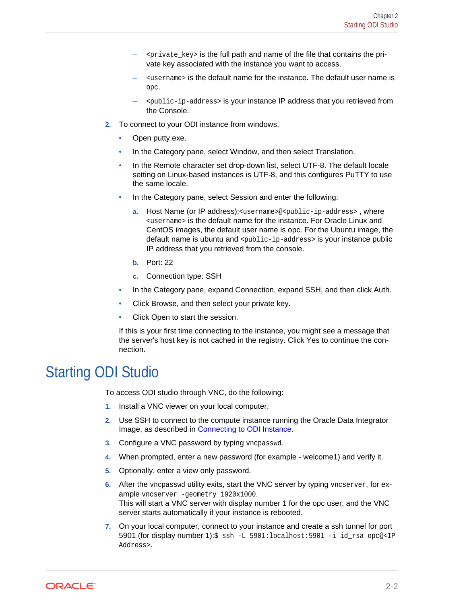- <span id="page-11-0"></span>– <private\_key> is the full path and name of the file that contains the pri‐ vate key associated with the instance you want to access.
- <username> is the default name for the instance. The default user name is opc.
- <public-ip-address> is your instance IP address that you retrieved from the Console.
- **2.** To connect to your ODI instance from windows,
	- Open putty.exe.
	- In the Category pane, select Window, and then select Translation.
	- In the Remote character set drop-down list, select UTF-8. The default locale setting on Linux-based instances is UTF-8, and this configures PuTTY to use the same locale.
	- In the Category pane, select Session and enter the following:
		- **a.** Host Name (or IP address):<username>@<public-ip-address>, where <username> is the default name for the instance. For Oracle Linux and CentOS images, the default user name is opc. For the Ubuntu image, the default name is ubuntu and <public-ip-address> is your instance public IP address that you retrieved from the console.
		- **b.** Port: 22
		- **c.** Connection type: SSH
	- In the Category pane, expand Connection, expand SSH, and then click Auth.
	- Click Browse, and then select your private key.
	- Click Open to start the session.

If this is your first time connecting to the instance, you might see a message that the server's host key is not cached in the registry. Click Yes to continue the con‐ nection.

### Starting ODI Studio

To access ODI studio through VNC, do the following:

- **1.** Install a VNC viewer on your local computer.
- **2.** Use SSH to connect to the compute instance running the Oracle Data Integrator Image, as described in [Connecting to ODI Instance](#page-10-0).
- **3.** Configure a VNC password by typing vncpasswd.
- **4.** When prompted, enter a new password (for example welcome1) and verify it.
- **5.** Optionally, enter a view only password.
- **6.** After the vncpasswd utility exits, start the VNC server by typing vncserver, for ex‐ ample vncserver -geometry 1920x1000. This will start a VNC server with display number 1 for the opc user, and the VNC server starts automatically if your instance is rebooted.
- **7.** On your local computer, connect to your instance and create a ssh tunnel for port 5901 (for display number 1):\$ ssh -L 5901:localhost:5901 –i id\_rsa opc@<IP Address>.

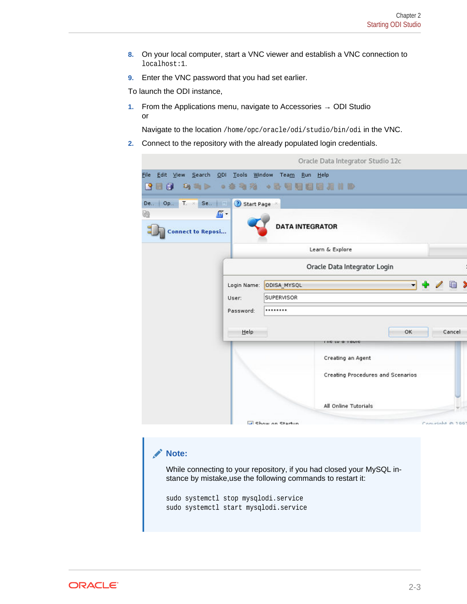- **8.** On your local computer, start a VNC viewer and establish a VNC connection to localhost:1.
- **9.** Enter the VNC password that you had set earlier.

To launch the ODI instance,

**1.** From the Applications menu, navigate to Accessories → ODI Studio or

Navigate to the location /home/opc/oracle/odi/studio/bin/odi in the VNC.

**2.** Connect to the repository with the already populated login credentials.

|                                                                              |                                   | Oracle Data Integrator Studio 12c |                                   |
|------------------------------------------------------------------------------|-----------------------------------|-----------------------------------|-----------------------------------|
| Edit View Search ODI Tools Window Team Run Help<br>Eile<br>8 E G<br>马斯卜 口音通路 |                                   | ◆表唱唱唱唱相##                         |                                   |
| 亙.<br>碰                                                                      |                                   |                                   |                                   |
| <b>Connect to Reposi</b>                                                     |                                   | <b>DATA INTEGRATOR</b>            |                                   |
|                                                                              |                                   | Learn & Explore                   |                                   |
|                                                                              |                                   | Oracle Data Integrator Login      |                                   |
|                                                                              | <b>ODISA MYSQL</b><br>Login Name: |                                   |                                   |
|                                                                              | User:                             | <b>SUPERVISOR</b>                 |                                   |
|                                                                              | Password:                         |                                   |                                   |
|                                                                              | Help                              | <b>THE LU O TOUTE</b>             | OK<br>Cancel                      |
|                                                                              |                                   | Creating an Agent                 |                                   |
|                                                                              |                                   |                                   | Creating Procedures and Scenarios |
|                                                                              |                                   | All Online Tutorials              |                                   |
|                                                                              |                                   | La Show on Startun                | Commisht @ 1991                   |

#### **Note:**

While connecting to your repository, if you had closed your MySQL in‐ stance by mistake,use the following commands to restart it:

sudo systemctl stop mysqlodi.service sudo systemctl start mysqlodi.service

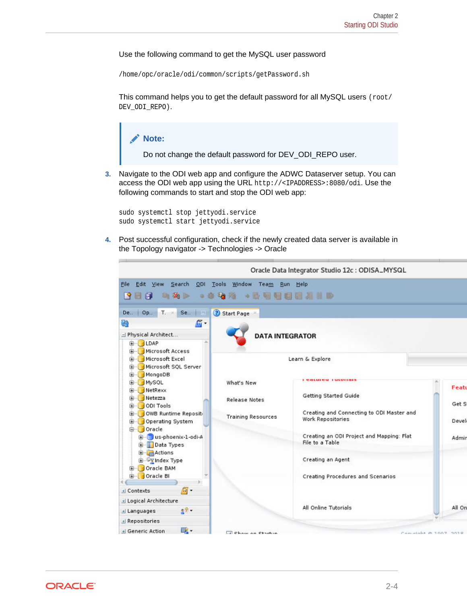Use the following command to get the MySQL user password

/home/opc/oracle/odi/common/scripts/getPassword.sh

This command helps you to get the default password for all MySQL users (root/ DEV\_ODI\_REPO).



Do not change the default password for DEV\_ODI\_REPO user.

**3.** Navigate to the ODI web app and configure the ADWC Dataserver setup. You can access the ODI web app using the URL http://<IPADDRESS>:8080/odi. Use the following commands to start and stop the ODI web app:

```
sudo systemctl stop jettyodi.service
sudo systemctl start jettyodi.service
```
**4.** Post successful configuration, check if the newly created data server is available in the Topology navigator -> Technologies -> Oracle

| File Edit View Search ODI Tools Window Team Run Help<br>机动区 日本电话<br>→ 表 唱 题 题 题 龙 11 协<br><b>BU B</b><br>De   Op T. × Se     2 Start Page ×<br>$\mathbb{Z}$ -<br>æ<br>- Physical Architect<br><b>DATA INTEGRATOR</b><br><b>B-BLDAP</b><br>H- Microsoft Access<br>Microsoft Excel<br>Learn & Explore<br>Microsoft SOL Server<br>MongoDB<br><b>Edition Interior</b><br><b>E</b> -MySQL<br>What's New<br><b>E-NetRexx</b><br>Getting Started Guide<br><b>B</b> Netezza<br><b>Release Notes</b><br><b>B</b> ODI Tools<br>Creating and Connecting to ODI Master and<br>OWB Runtime Reposit<br><b>Training Resources</b><br>Work Repositories<br>Operating System<br>e-foracle<br>H-I us-phoenix-1-odi-A<br>Creating an ODI Project and Mapping: Flat<br>File to a Table<br>Data Types<br>E-Actions<br>Creating an Agent<br><b>E</b> Fyindex Type<br><b>D</b> Oracle BAM<br>Cracle Bl<br>Creating Procedures and Scenarios<br>$\mathbb{G}$ -<br>+I Contexts<br>+ Logical Architecture<br>All Online Tutorials<br>$27 -$<br>$±$ Languages<br>+ Repositories |  | Oracle Data Integrator Studio 12c : ODISA_MYSQL |        |
|------------------------------------------------------------------------------------------------------------------------------------------------------------------------------------------------------------------------------------------------------------------------------------------------------------------------------------------------------------------------------------------------------------------------------------------------------------------------------------------------------------------------------------------------------------------------------------------------------------------------------------------------------------------------------------------------------------------------------------------------------------------------------------------------------------------------------------------------------------------------------------------------------------------------------------------------------------------------------------------------------------------------------------------------------|--|-------------------------------------------------|--------|
|                                                                                                                                                                                                                                                                                                                                                                                                                                                                                                                                                                                                                                                                                                                                                                                                                                                                                                                                                                                                                                                      |  |                                                 |        |
|                                                                                                                                                                                                                                                                                                                                                                                                                                                                                                                                                                                                                                                                                                                                                                                                                                                                                                                                                                                                                                                      |  |                                                 |        |
|                                                                                                                                                                                                                                                                                                                                                                                                                                                                                                                                                                                                                                                                                                                                                                                                                                                                                                                                                                                                                                                      |  |                                                 |        |
|                                                                                                                                                                                                                                                                                                                                                                                                                                                                                                                                                                                                                                                                                                                                                                                                                                                                                                                                                                                                                                                      |  |                                                 |        |
|                                                                                                                                                                                                                                                                                                                                                                                                                                                                                                                                                                                                                                                                                                                                                                                                                                                                                                                                                                                                                                                      |  |                                                 | Featu  |
|                                                                                                                                                                                                                                                                                                                                                                                                                                                                                                                                                                                                                                                                                                                                                                                                                                                                                                                                                                                                                                                      |  |                                                 | Get S  |
|                                                                                                                                                                                                                                                                                                                                                                                                                                                                                                                                                                                                                                                                                                                                                                                                                                                                                                                                                                                                                                                      |  |                                                 | Devel  |
|                                                                                                                                                                                                                                                                                                                                                                                                                                                                                                                                                                                                                                                                                                                                                                                                                                                                                                                                                                                                                                                      |  |                                                 | Admir  |
|                                                                                                                                                                                                                                                                                                                                                                                                                                                                                                                                                                                                                                                                                                                                                                                                                                                                                                                                                                                                                                                      |  |                                                 |        |
|                                                                                                                                                                                                                                                                                                                                                                                                                                                                                                                                                                                                                                                                                                                                                                                                                                                                                                                                                                                                                                                      |  |                                                 |        |
|                                                                                                                                                                                                                                                                                                                                                                                                                                                                                                                                                                                                                                                                                                                                                                                                                                                                                                                                                                                                                                                      |  |                                                 | All On |
| 1页-<br>+ Generic Action<br>Concricite @ 1007 2010<br>a Chaw on Chartier                                                                                                                                                                                                                                                                                                                                                                                                                                                                                                                                                                                                                                                                                                                                                                                                                                                                                                                                                                              |  |                                                 |        |

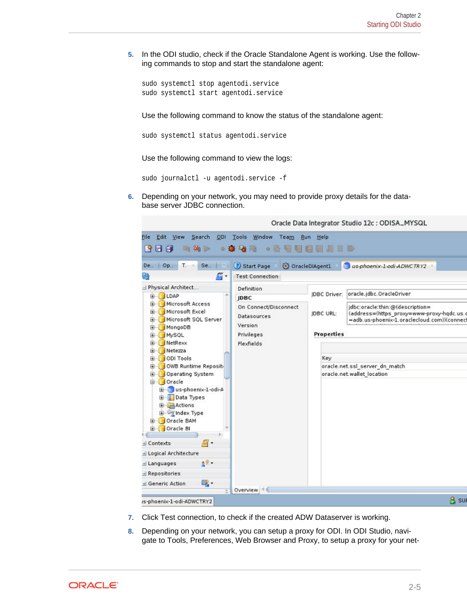**5.** In the ODI studio, check if the Oracle Standalone Agent is working. Use the follow‐ ing commands to stop and start the standalone agent:

sudo systemctl stop agentodi.service sudo systemctl start agentodi.service

Use the following command to know the status of the standalone agent:

sudo systemctl status agentodi.service

Use the following command to view the logs:

sudo journalctl -u agentodi.service -f

**6.** Depending on your network, you may need to provide proxy details for the data‐ base server JDBC connection.

| Op<br>т.<br>$Se$ $\Box$<br>De.,                                                                                                                                                                                                                                                                                                                                                                                                                                                                                                                       | ? Start Page                                                                                                                       | OracleDIAgent1                                                      | us-phoenix-1-odi-ADWCTRY2                                                                                                                                                                                               |
|-------------------------------------------------------------------------------------------------------------------------------------------------------------------------------------------------------------------------------------------------------------------------------------------------------------------------------------------------------------------------------------------------------------------------------------------------------------------------------------------------------------------------------------------------------|------------------------------------------------------------------------------------------------------------------------------------|---------------------------------------------------------------------|-------------------------------------------------------------------------------------------------------------------------------------------------------------------------------------------------------------------------|
| 廊<br>œ<br>- Physical Architect<br>E-LDAP<br>Microsoft Access<br>(∓)-<br>Microsoft Excel<br>$F - F$<br>Microsoft SQL Server<br>MongoDB<br>⊞…<br><b>E-MySQL</b><br>NetRexx<br>⊕<br><b>B</b> - Netezza<br><b>ODI</b> Tools<br>国<br><b>E-1</b> OWB Runtime Reposit<br>Operating System<br><b>B</b> Oracle<br>E- Jus-phoenix-1-odi-A<br>Data Types<br>E-Actions<br>E Cylndex Type<br><b>D</b> -Doracle BAM<br><b>B</b> - Oracle BI<br>л.<br>+ Contexts<br>+ Logical Architecture<br>$27 -$<br>$\pm$ Languages<br>+ Repositories<br>12.<br>+ Generic Action | <b>Test Connection</b><br>Definition<br><b>JDBC</b><br>On Connect/Disconnect<br>Datasources<br>Version<br>Privileges<br>Flexfields | <b>IDBC Driver:</b><br><b>IDBC URL:</b><br><b>Properties</b><br>Key | oracle.jdbc.OracleDriver<br>jdbc:oracle:thin:@(description=<br>(address=(https proxy=www-proxy-hqdc.us.c<br>=adb.us-phoenix-1.oraclecloud.com))(connect<br>oracle.net.ssl server dn match<br>oracle.net.wallet location |
| $\hat{z}$                                                                                                                                                                                                                                                                                                                                                                                                                                                                                                                                             | Overview                                                                                                                           |                                                                     |                                                                                                                                                                                                                         |

- **7.** Click Test connection, to check if the created ADW Dataserver is working.
- **8.** Depending on your network, you can setup a proxy for ODI. In ODI Studio, navi‐ gate to Tools, Preferences, Web Browser and Proxy, to setup a proxy for your net‐

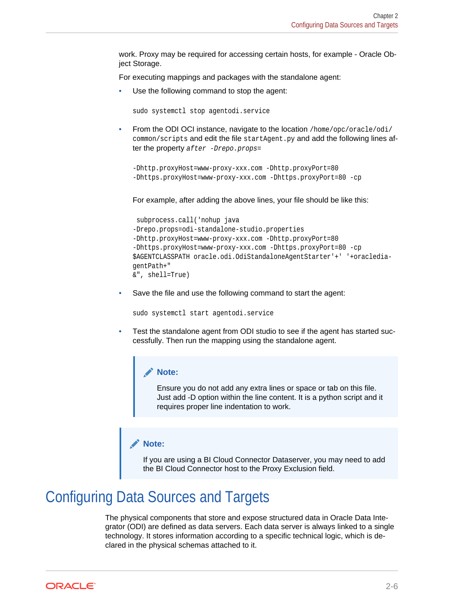<span id="page-15-0"></span>work. Proxy may be required for accessing certain hosts, for example - Oracle Ob‐ ject Storage.

For executing mappings and packages with the standalone agent:

Use the following command to stop the agent:

```
sudo systemctl stop agentodi.service
```
• From the ODI OCI instance, navigate to the location /home/opc/oracle/odi/ common/scripts and edit the file startAgent.py and add the following lines after the property after -Drepo.props=

```
-Dhttp.proxyHost=www-proxy-xxx.com -Dhttp.proxyPort=80 
-Dhttps.proxyHost=www-proxy-xxx.com -Dhttps.proxyPort=80 -cp
```
For example, after adding the above lines, your file should be like this:

```
 subprocess.call('nohup java 
-Drepo.props=odi-standalone-studio.properties 
-Dhttp.proxyHost=www-proxy-xxx.com -Dhttp.proxyPort=80 
-Dhttps.proxyHost=www-proxy-xxx.com -Dhttps.proxyPort=80 -cp 
$AGENTCLASSPATH oracle.odi.OdiStandaloneAgentStarter'+' '+oracledia-
gentPath+" 
&", shell=True)
```
Save the file and use the following command to start the agent:

sudo systemctl start agentodi.service

• Test the standalone agent from ODI studio to see if the agent has started suc‐ cessfully. Then run the mapping using the standalone agent.

#### **Note:**

Ensure you do not add any extra lines or space or tab on this file. Just add -D option within the line content. It is a python script and it requires proper line indentation to work.

#### **Note:**

If you are using a BI Cloud Connector Dataserver, you may need to add the BI Cloud Connector host to the Proxy Exclusion field.

# Configuring Data Sources and Targets

The physical components that store and expose structured data in Oracle Data Inte‐ grator (ODI) are defined as data servers. Each data server is always linked to a single technology. It stores information according to a specific technical logic, which is de‐ clared in the physical schemas attached to it.

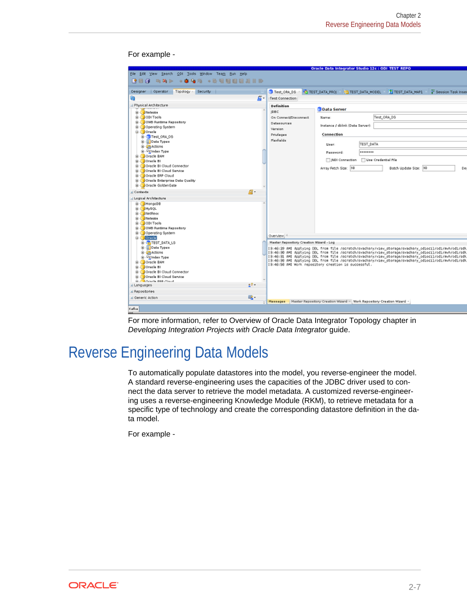<span id="page-16-0"></span>For example -

|                                                                                                                                                                                                                                   |        | Oracle Data Integrator Studio 12c : ODI TEST REPO                                                                                                                                                                                                                                                                                                                                                                                                                                                                           |
|-----------------------------------------------------------------------------------------------------------------------------------------------------------------------------------------------------------------------------------|--------|-----------------------------------------------------------------------------------------------------------------------------------------------------------------------------------------------------------------------------------------------------------------------------------------------------------------------------------------------------------------------------------------------------------------------------------------------------------------------------------------------------------------------------|
| Ble Edit View Search ODI Tools Window Team Bun Help<br>电电自同准非顺<br><b>PHE</b><br>动英国<br><b>CALLS</b><br>m<br>0.12<br>٠                                                                                                             |        |                                                                                                                                                                                                                                                                                                                                                                                                                                                                                                                             |
| Designer   Operator<br>Topology<br>Security                                                                                                                                                                                       |        | TEST_DATA_MAP1<br><sup>2</sup> Seosion Task Inser<br>Test ORA DS X<br>TEST DATA PROI . TEST DATA MODEL                                                                                                                                                                                                                                                                                                                                                                                                                      |
| <b>QB</b>                                                                                                                                                                                                                         | Aug.   | <b>Test Connection</b>                                                                                                                                                                                                                                                                                                                                                                                                                                                                                                      |
| - Physical Architecture<br>Networks<br>电<br>G-CODI Tools<br>8-C CONS Runtime Repository<br><b>B-Coperating System</b><br>G-Goracle<br><b>G-Test CRA DS</b><br><b>B-Boata Types</b><br>图 Actions<br>8- <sup>Si</sup> il Index Type |        | <b>Definition</b><br>Data Server<br><b>IDBC</b><br>Test_0RA_DS<br>On Connect/Disconnect<br>Name:<br>Datasources<br>Instance / dblink (Data Server):<br>Version<br>Connection<br>Privileges<br>Flexfields<br>TEST DATA<br>User:<br><br>Password:                                                                                                                                                                                                                                                                             |
| G-Coracle BAN<br>B-Coracle BI<br><b>B-1 Oracle BI Cloud Connector</b><br>8-Coracle BI Cloud Service<br>G-1 Oracle ERP Cloud<br>8-Coracle Enterprise Data Quality<br><b>G-1</b> Oracle GoldenGate                                  |        | NDI Connection<br>Une Credential File<br>Array Fetch Size: 30<br>Batch Update Size:  30<br>De                                                                                                                                                                                                                                                                                                                                                                                                                               |
| + Contexts                                                                                                                                                                                                                        | m-     |                                                                                                                                                                                                                                                                                                                                                                                                                                                                                                                             |
| - Logical Architecture<br>E-MongoDB<br><b>B-CONSOL</b><br>G-BriefReod<br>Bi-C Netezza<br>B-BODI Tools<br>8-C OWS Runtime Repository                                                                                               |        |                                                                                                                                                                                                                                                                                                                                                                                                                                                                                                                             |
| <b>B-Coperating System</b><br>G-I Oracle                                                                                                                                                                                          |        | Overview <sup>4</sup>                                                                                                                                                                                                                                                                                                                                                                                                                                                                                                       |
| <b>G-C</b> TEST DATA LS<br>8-Boata Types<br><b>田山高Actions</b><br>8- <sup>Sig</sup> Index Type<br>G-Coracle BAN<br>B-Boracle Bl<br>B-Coracle BI Cloud Connector<br>8-Coracle BI Cloud Service<br><b>Contracts</b> FRR Mount        |        | Master Repository Creation Wizard - Log<br>18:46:29 AMI Applying ODL from file /scratch/svachary/view_storage/svachary_odiocil/odi/mwh/odi/sdk<br>18:46:30 AMI Applying ODL from file /scratch/svachary/view_storage/svachary_odiocil/odi/mwh/odi/sdk<br>18:46:31 AMI Applying ODL from file /scratch/svachary/view_storage/svachary_odiocil/odi/mwh/odi/sdk<br>[Br46r38 AM] Applying DDL from file /scratch/svachary/view storage/svachary odiocil/odi/mwh/odi/sdk<br>[3:46:58 AM] Work repository creation is successful. |
| ± Languages                                                                                                                                                                                                                       | $-2 -$ |                                                                                                                                                                                                                                                                                                                                                                                                                                                                                                                             |
| ± Repositories                                                                                                                                                                                                                    |        |                                                                                                                                                                                                                                                                                                                                                                                                                                                                                                                             |
| El Generic Action                                                                                                                                                                                                                 | ug -   | Messages   Master Repository Creation Woord - Work Repository Creation Wizard -                                                                                                                                                                                                                                                                                                                                                                                                                                             |
| Kafka                                                                                                                                                                                                                             |        |                                                                                                                                                                                                                                                                                                                                                                                                                                                                                                                             |

For more information, refer to Overview of Oracle Data Integrator Topology chapter in *Developing Integration Projects with Oracle Data Integrator* guide.

# Reverse Engineering Data Models

To automatically populate datastores into the model, you reverse-engineer the model. A standard reverse-engineering uses the capacities of the JDBC driver used to con‐ nect the data server to retrieve the model metadata. A customized reverse-engineer‐ ing uses a reverse-engineering Knowledge Module (RKM), to retrieve metadata for a specific type of technology and create the corresponding datastore definition in the da‐ ta model.

For example -

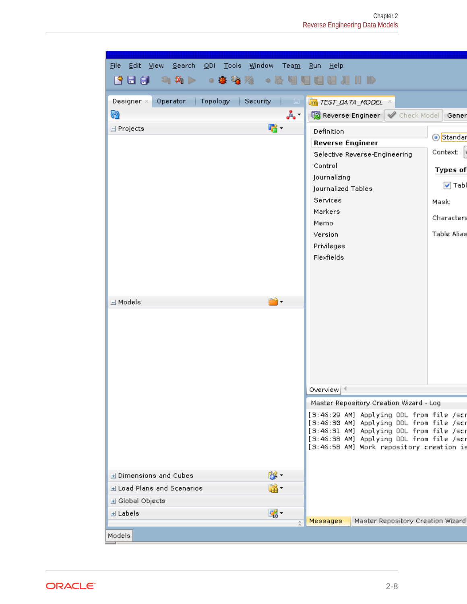

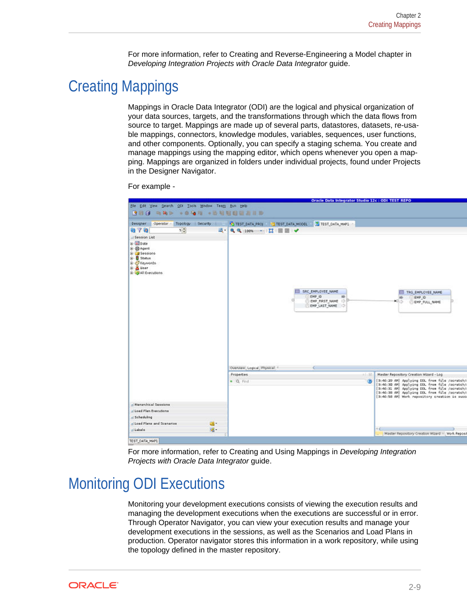For more information, refer to Creating and Reverse-Engineering a Model chapter in *Developing Integration Projects with Oracle Data Integrator* guide.

# <span id="page-18-0"></span>Creating Mappings

Mappings in Oracle Data Integrator (ODI) are the logical and physical organization of your data sources, targets, and the transformations through which the data flows from source to target. Mappings are made up of several parts, datastores, datasets, re-usable mappings, connectors, knowledge modules, variables, sequences, user functions, and other components. Optionally, you can specify a staging schema. You create and manage mappings using the mapping editor, which opens whenever you open a map‐ ping. Mappings are organized in folders under individual projects, found under Projects in the Designer Navigator.

For example -



For more information, refer to Creating and Using Mappings in *Developing Integration Projects with Oracle Data Integrator* guide.

# Monitoring ODI Executions

Monitoring your development executions consists of viewing the execution results and managing the development executions when the executions are successful or in error. Through Operator Navigator, you can view your execution results and manage your development executions in the sessions, as well as the Scenarios and Load Plans in production. Operator navigator stores this information in a work repository, while using the topology defined in the master repository.

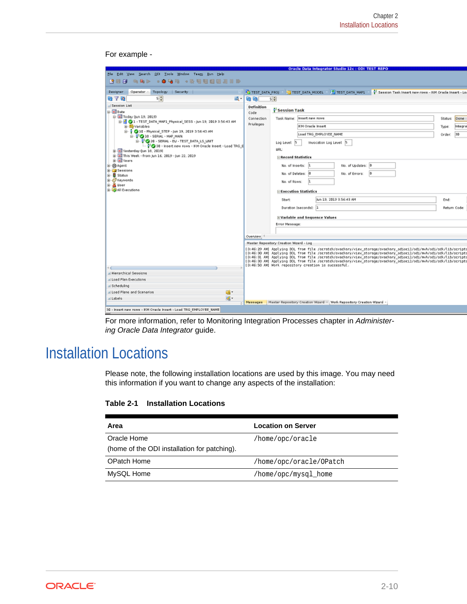<span id="page-19-0"></span>For example -

| Fis Edit Yew Search COI Tools Window Team Bun Help                                                                                                                                                                                                                                                                                                                                                                                                                                                                                                                                                                                                                                                                                                       | Oracle Data Integrator Studio 12c : ODI TEST REPO                                                                                                                                                                                                                                                                                                                                                                                                                                                                                                                                                                                                                                                                                                                                                                                                                                                                                                                                                                                                                                                                                                                                                                                   |                                                                             |
|----------------------------------------------------------------------------------------------------------------------------------------------------------------------------------------------------------------------------------------------------------------------------------------------------------------------------------------------------------------------------------------------------------------------------------------------------------------------------------------------------------------------------------------------------------------------------------------------------------------------------------------------------------------------------------------------------------------------------------------------------------|-------------------------------------------------------------------------------------------------------------------------------------------------------------------------------------------------------------------------------------------------------------------------------------------------------------------------------------------------------------------------------------------------------------------------------------------------------------------------------------------------------------------------------------------------------------------------------------------------------------------------------------------------------------------------------------------------------------------------------------------------------------------------------------------------------------------------------------------------------------------------------------------------------------------------------------------------------------------------------------------------------------------------------------------------------------------------------------------------------------------------------------------------------------------------------------------------------------------------------------|-----------------------------------------------------------------------------|
| 日日日<br>动场区<br>- 5 4 4 6 6 7 8 9 9<br>59.<br>$\circ$ $\bullet$<br>Topology Security<br><b>Designer</b><br>Operator -<br>5층<br>道·<br><b>BOY 09</b><br>- Session List<br>E-H Dabe<br>E-DI Today Uun 19, 2019)<br>B-2 C 1 - TEST DATA NAP1 Physical SC55 - Jun 19, 2019 3:56:43 AN<br>B-Ba Variables<br>E-9 210 - Physical STEP - Jun 19, 2019 3:56:43 AM<br><b>В-8 210 - SERIAL - MAP_NAIN</b><br><b>B-B-Q 20 - SERIAL - EU - TEST_DATA_LS_UNIT</b><br>9 80 - Insert new rows - KM Oracle Insert - Load TRG E<br>E-M Yesterday (Jun 18, 2019)<br>B-BI This Week - from Jun 16, 2019 - Jun 22, 2019<br><b>B-B</b> Years<br>B 商Agent<br><b>B</b> -Ca <sup>5</sup> Sessions<br>iii - B Status<br><b>E</b> <i>C</i> Keywords<br>il-8 user<br><b>B</b> Bocutions | TEST DATA NODEL 1 TEST DATA MAP1<br>5 Session Task Insert new rows - ISM Oracle Insert - Lo<br>TEST DATA PROJ<br><b>B2 8B</b><br>되어<br>Definition<br><sup>1</sup> Session Task<br>Code<br>Connection<br>Task Name: Insert new rows<br>Privileges<br><b>IKM Oracle Insert</b><br>Load TRG ENPLOYEE NAME<br>Invocation Log Level 5<br>Log Level<br>URL:<br><b>EiRecord Statistics</b><br>No. of Updates: D<br>No. of Inserts:<br>ID.<br>No. of Errors:<br>No. of Deletes: 0<br>No. of Raws:<br><b>Execution Statistics</b><br>lun 19, 2019 3:56:43 AM<br>Start:<br>Duration (seconds): 1<br>ElVariable and Sequence Values<br>Error Message:<br>Overview 1<br>Master Repository Creation Wizard - Log<br>[3:46:29 AM] Applying DDL from file /scratch/svachary/view_storage/svachary_odiocil/odi/mwh/odi/sdk/lib/script<br>[3:46:30 AM] Applying DDL from file /scratch/svachary/view storage/svachary odiocil/odi/mwh/odi/sdk/lib/script<br>[3:46:31 AM] Applying DOL from file /scratch/svachary/view_storage/svachary_odiocil/odi/mwh/odi/sdk/lib/script<br>[3:46:38 AM] Applying DDL from file /scratch/svachary/view storage/svachary odiocil/odi/mwh/odi/sdk/lib/script<br>[3:46:58 AM] Work repository creation is successful. | Stabus:<br>Done<br>Integra<br>Type:<br>30<br>Order:<br>End:<br>Reburn Code: |
| 36<br>El Hierarchical Sessions                                                                                                                                                                                                                                                                                                                                                                                                                                                                                                                                                                                                                                                                                                                           |                                                                                                                                                                                                                                                                                                                                                                                                                                                                                                                                                                                                                                                                                                                                                                                                                                                                                                                                                                                                                                                                                                                                                                                                                                     |                                                                             |
|                                                                                                                                                                                                                                                                                                                                                                                                                                                                                                                                                                                                                                                                                                                                                          |                                                                                                                                                                                                                                                                                                                                                                                                                                                                                                                                                                                                                                                                                                                                                                                                                                                                                                                                                                                                                                                                                                                                                                                                                                     |                                                                             |
| ±i Load Plan Executions                                                                                                                                                                                                                                                                                                                                                                                                                                                                                                                                                                                                                                                                                                                                  |                                                                                                                                                                                                                                                                                                                                                                                                                                                                                                                                                                                                                                                                                                                                                                                                                                                                                                                                                                                                                                                                                                                                                                                                                                     |                                                                             |
| al Scheduling                                                                                                                                                                                                                                                                                                                                                                                                                                                                                                                                                                                                                                                                                                                                            |                                                                                                                                                                                                                                                                                                                                                                                                                                                                                                                                                                                                                                                                                                                                                                                                                                                                                                                                                                                                                                                                                                                                                                                                                                     |                                                                             |
| al Load Plans and Scenarios<br>ѩ.                                                                                                                                                                                                                                                                                                                                                                                                                                                                                                                                                                                                                                                                                                                        |                                                                                                                                                                                                                                                                                                                                                                                                                                                                                                                                                                                                                                                                                                                                                                                                                                                                                                                                                                                                                                                                                                                                                                                                                                     |                                                                             |
| 唰.<br>eleds.                                                                                                                                                                                                                                                                                                                                                                                                                                                                                                                                                                                                                                                                                                                                             | Messages   Master Repository Creation Wzard - Work Repository Creation Wizard -                                                                                                                                                                                                                                                                                                                                                                                                                                                                                                                                                                                                                                                                                                                                                                                                                                                                                                                                                                                                                                                                                                                                                     |                                                                             |
| 30 - Insert new rows - KM Gracle Insert - Load TRG EMPLOYEE NAME                                                                                                                                                                                                                                                                                                                                                                                                                                                                                                                                                                                                                                                                                         |                                                                                                                                                                                                                                                                                                                                                                                                                                                                                                                                                                                                                                                                                                                                                                                                                                                                                                                                                                                                                                                                                                                                                                                                                                     |                                                                             |

For more information, refer to Monitoring Integration Processes chapter in *Administer‐ ing Oracle Data Integrator* guide.

# Installation Locations

Please note, the following installation locations are used by this image. You may need this information if you want to change any aspects of the installation:

**Table 2-1 Installation Locations**

| Area                                         | <b>Location on Server</b> |
|----------------------------------------------|---------------------------|
| Oracle Home                                  | /home/opc/oracle          |
| (home of the ODI installation for patching). |                           |
| OPatch Home                                  | /home/opc/oracle/OPatch   |
| MySOL Home                                   | /home/opc/mysql home      |

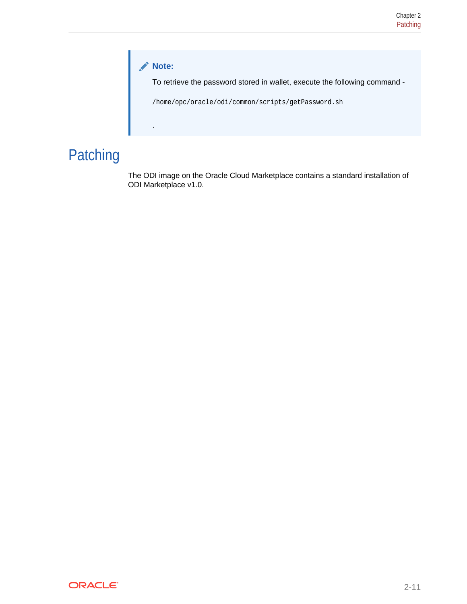<span id="page-20-0"></span>**Note:**

.

To retrieve the password stored in wallet, execute the following command -

/home/opc/oracle/odi/common/scripts/getPassword.sh

# Patching

The ODI image on the Oracle Cloud Marketplace contains a standard installation of ODI Marketplace v1.0.

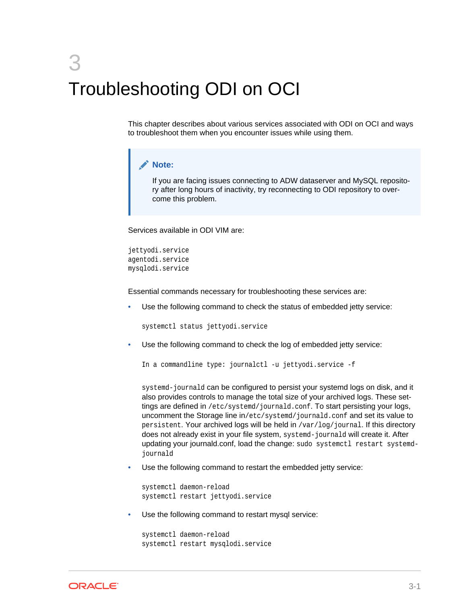# <span id="page-21-0"></span>3 Troubleshooting ODI on OCI

This chapter describes about various services associated with ODI on OCI and ways to troubleshoot them when you encounter issues while using them.

#### **Note:**

If you are facing issues connecting to ADW dataserver and MySQL reposito‐ ry after long hours of inactivity, try reconnecting to ODI repository to over‐ come this problem.

Services available in ODI VIM are:

jettyodi.service agentodi.service mysqlodi.service

Essential commands necessary for troubleshooting these services are:

Use the following command to check the status of embedded jetty service:

systemctl status jettyodi.service

Use the following command to check the log of embedded jetty service:

In a commandline type: journalctl -u jettyodi.service -f

systemd-journald can be configured to persist your systemd logs on disk, and it also provides controls to manage the total size of your archived logs. These set‐ tings are defined in /etc/systemd/journald.conf. To start persisting your logs, uncomment the Storage line in/etc/systemd/journald.conf and set its value to persistent. Your archived logs will be held in /var/log/journal. If this directory does not already exist in your file system, systemd-journald will create it. After updating your journald.conf, load the change: sudo systemctl restart systemdjournald

Use the following command to restart the embedded jetty service:

```
systemctl daemon-reload
systemctl restart jettyodi.service
```
Use the following command to restart mysql service:

```
systemctl daemon-reload
systemctl restart mysqlodi.service
```